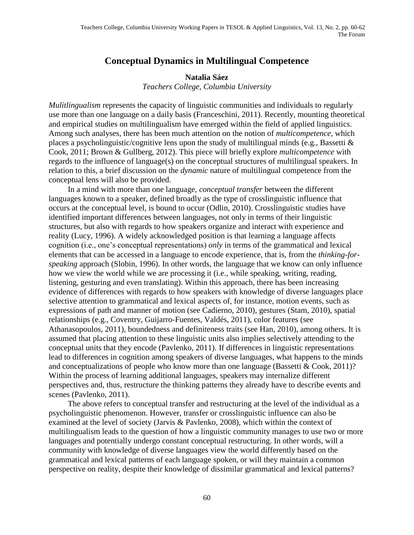## **Conceptual Dynamics in Multilingual Competence**

## **Natalia Sáez** *Teachers College, Columbia University*

*Mulitlingualism* represents the capacity of linguistic communities and individuals to regularly use more than one language on a daily basis (Franceschini, 2011). Recently, mounting theoretical and empirical studies on multilingualism have emerged within the field of applied linguistics. Among such analyses, there has been much attention on the notion of *multicompetence*, which places a psycholinguistic/cognitive lens upon the study of multilingual minds (e.g., Bassetti & Cook, 2011; Brown & Gullberg, 2012). This piece will briefly explore *multicompetence* with regards to the influence of language(s) on the conceptual structures of multilingual speakers. In relation to this, a brief discussion on the *dynamic* nature of multilingual competence from the conceptual lens will also be provided.

In a mind with more than one language, *conceptual transfer* between the different languages known to a speaker, defined broadly as the type of crosslinguistic influence that occurs at the conceptual level, is bound to occur (Odlin, 2010). Crosslinguistic studies have identified important differences between languages, not only in terms of their linguistic structures, but also with regards to how speakers organize and interact with experience and reality (Lucy, 1996). A widely acknowledged position is that learning a language affects cognition (i.e., one's conceptual representations) *only* in terms of the grammatical and lexical elements that can be accessed in a language to encode experience, that is, from the *thinking-forspeaking* approach (Slobin, 1996). In other words, the language that we know can only influence how we view the world while we are processing it (i.e., while speaking, writing, reading, listening, gesturing and even translating). Within this approach, there has been increasing evidence of differences with regards to how speakers with knowledge of diverse languages place selective attention to grammatical and lexical aspects of, for instance, motion events, such as expressions of path and manner of motion (see Cadierno, 2010), gestures (Stam, 2010), spatial relationships (e.g., Coventry, Guijarro-Fuentes, Valdés, 2011), color features (see Athanasopoulos, 2011), boundedness and definiteness traits (see Han, 2010), among others. It is assumed that placing attention to these linguistic units also implies selectively attending to the conceptual units that they encode (Pavlenko, 2011). If differences in linguistic representations lead to differences in cognition among speakers of diverse languages, what happens to the minds and conceptualizations of people who know more than one language (Bassetti & Cook, 2011)? Within the process of learning additional languages, speakers may internalize different perspectives and, thus, restructure the thinking patterns they already have to describe events and scenes (Pavlenko, 2011).

The above refers to conceptual transfer and restructuring at the level of the individual as a psycholinguistic phenomenon. However, transfer or crosslinguistic influence can also be examined at the level of society (Jarvis & Pavlenko, 2008), which within the context of multilingualism leads to the question of how a linguistic community manages to use two or more languages and potentially undergo constant conceptual restructuring. In other words, will a community with knowledge of diverse languages view the world differently based on the grammatical and lexical patterns of each language spoken, or will they maintain a common perspective on reality, despite their knowledge of dissimilar grammatical and lexical patterns?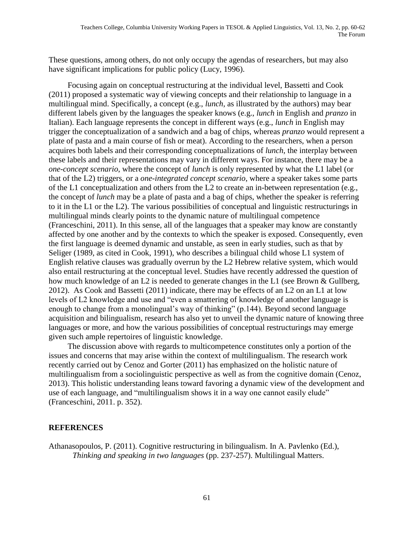These questions, among others, do not only occupy the agendas of researchers, but may also have significant implications for public policy (Lucy, 1996).

Focusing again on conceptual restructuring at the individual level, Bassetti and Cook (2011) proposed a systematic way of viewing concepts and their relationship to language in a multilingual mind. Specifically, a concept (e.g., *lunch*, as illustrated by the authors) may bear different labels given by the languages the speaker knows (e.g., *lunch* in English and *pranzo* in Italian). Each language represents the concept in different ways (e.g., *lunch* in English may trigger the conceptualization of a sandwich and a bag of chips, whereas *pranzo* would represent a plate of pasta and a main course of fish or meat). According to the researchers, when a person acquires both labels and their corresponding conceptualizations of *lunch*, the interplay between these labels and their representations may vary in different ways. For instance, there may be a *one-concept scenario*, where the concept of *lunch* is only represented by what the L1 label (or that of the L2) triggers, or a *one-integrated concept scenario*, where a speaker takes some parts of the L1 conceptualization and others from the L2 to create an in-between representation (e.g., the concept of *lunch* may be a plate of pasta and a bag of chips, whether the speaker is referring to it in the L1 or the L2). The various possibilities of conceptual and linguistic restructurings in multilingual minds clearly points to the dynamic nature of multilingual competence (Franceschini, 2011). In this sense, all of the languages that a speaker may know are constantly affected by one another and by the contexts to which the speaker is exposed. Consequently, even the first language is deemed dynamic and unstable, as seen in early studies, such as that by Seliger (1989, as cited in Cook, 1991), who describes a bilingual child whose L1 system of English relative clauses was gradually overrun by the L2 Hebrew relative system, which would also entail restructuring at the conceptual level. Studies have recently addressed the question of how much knowledge of an L2 is needed to generate changes in the L1 (see Brown & Gullberg, 2012). As Cook and Bassetti (2011) indicate, there may be effects of an L2 on an L1 at low levels of L2 knowledge and use and "even a smattering of knowledge of another language is enough to change from a monolingual's way of thinking" (p.144). Beyond second language acquisition and bilingualism, research has also yet to unveil the dynamic nature of knowing three languages or more, and how the various possibilities of conceptual restructurings may emerge given such ample repertoires of linguistic knowledge.

The discussion above with regards to multicompetence constitutes only a portion of the issues and concerns that may arise within the context of multilingualism. The research work recently carried out by Cenoz and Gorter (2011) has emphasized on the holistic nature of multilingualism from a sociolinguistic perspective as well as from the cognitive domain (Cenoz, 2013). This holistic understanding leans toward favoring a dynamic view of the development and use of each language, and "multilingualism shows it in a way one cannot easily elude" (Franceschini, 2011. p. 352).

## **REFERENCES**

Athanasopoulos, P. (2011). Cognitive restructuring in bilingualism. In A. Pavlenko (Ed.), *Thinking and speaking in two languages* (pp. 237-257). Multilingual Matters.